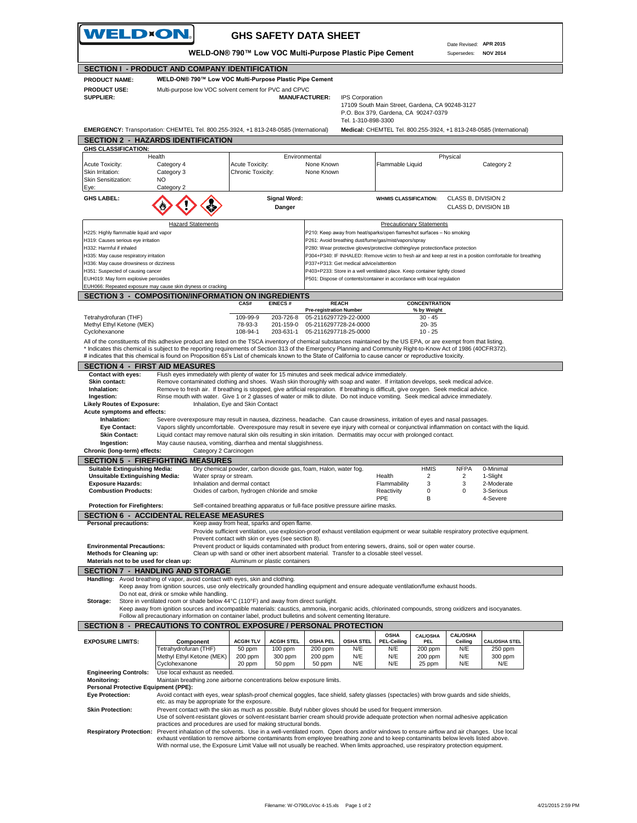|                                            |                                                                                                                                                                     |                                                                                                                                                                                                          |                                                                                 |                        | WELD-ON® 790™ Low VOC Multi-Purpose Plastic Pipe Cement |                                 |                      |                                                                                                            |  |
|--------------------------------------------|---------------------------------------------------------------------------------------------------------------------------------------------------------------------|----------------------------------------------------------------------------------------------------------------------------------------------------------------------------------------------------------|---------------------------------------------------------------------------------|------------------------|---------------------------------------------------------|---------------------------------|----------------------|------------------------------------------------------------------------------------------------------------|--|
|                                            | <b>SECTION I - PRODUCT AND COMPANY IDENTIFICATION</b>                                                                                                               |                                                                                                                                                                                                          |                                                                                 |                        |                                                         |                                 |                      |                                                                                                            |  |
| <b>PRODUCT NAME:</b>                       |                                                                                                                                                                     | WELD-ON® 790™ Low VOC Multi-Purpose Plastic Pipe Cement                                                                                                                                                  |                                                                                 |                        |                                                         |                                 |                      |                                                                                                            |  |
| <b>PRODUCT USE:</b>                        |                                                                                                                                                                     | Multi-purpose low VOC solvent cement for PVC and CPVC                                                                                                                                                    |                                                                                 |                        |                                                         |                                 |                      |                                                                                                            |  |
| <b>SUPPLIER:</b>                           |                                                                                                                                                                     |                                                                                                                                                                                                          | <b>MANUFACTURER:</b>                                                            | <b>IPS Corporation</b> |                                                         |                                 |                      |                                                                                                            |  |
|                                            |                                                                                                                                                                     |                                                                                                                                                                                                          |                                                                                 |                        | 17109 South Main Street, Gardena, CA 90248-3127         |                                 |                      |                                                                                                            |  |
|                                            |                                                                                                                                                                     |                                                                                                                                                                                                          |                                                                                 |                        | P.O. Box 379, Gardena, CA 90247-0379                    |                                 |                      |                                                                                                            |  |
|                                            |                                                                                                                                                                     |                                                                                                                                                                                                          |                                                                                 | Tel. 1-310-898-3300    |                                                         |                                 |                      |                                                                                                            |  |
|                                            | EMERGENCY: Transportation: CHEMTEL Tel. 800.255-3924, +1 813-248-0585 (International)                                                                               |                                                                                                                                                                                                          |                                                                                 |                        |                                                         |                                 |                      | Medical: CHEMTEL Tel. 800.255-3924, +1 813-248-0585 (International)                                        |  |
|                                            | <b>SECTION 2 - HAZARDS IDENTIFICATION</b>                                                                                                                           |                                                                                                                                                                                                          |                                                                                 |                        |                                                         |                                 |                      |                                                                                                            |  |
| <b>GHS CLASSIFICATION:</b>                 |                                                                                                                                                                     |                                                                                                                                                                                                          |                                                                                 |                        |                                                         |                                 |                      |                                                                                                            |  |
|                                            | Health                                                                                                                                                              | Environmental                                                                                                                                                                                            |                                                                                 |                        |                                                         |                                 | Physical             |                                                                                                            |  |
| Acute Toxicity:                            | Category 4                                                                                                                                                          | Acute Toxicity:                                                                                                                                                                                          | None Known                                                                      |                        | Flammable Liquid                                        |                                 |                      | Category 2                                                                                                 |  |
| Skin Irritation:                           | Category 3                                                                                                                                                          | Chronic Toxicity:                                                                                                                                                                                        | None Known                                                                      |                        |                                                         |                                 |                      |                                                                                                            |  |
| Skin Sensitization:                        | NO                                                                                                                                                                  |                                                                                                                                                                                                          |                                                                                 |                        |                                                         |                                 |                      |                                                                                                            |  |
| Eye:                                       | Category 2                                                                                                                                                          |                                                                                                                                                                                                          |                                                                                 |                        |                                                         |                                 |                      |                                                                                                            |  |
|                                            |                                                                                                                                                                     |                                                                                                                                                                                                          |                                                                                 |                        |                                                         |                                 |                      |                                                                                                            |  |
| <b>GHS LABEL:</b>                          |                                                                                                                                                                     | <b>Signal Word:</b>                                                                                                                                                                                      |                                                                                 |                        | <b>WHMIS CLASSIFICATION:</b>                            |                                 | CLASS B, DIVISION 2  |                                                                                                            |  |
|                                            |                                                                                                                                                                     | Danger                                                                                                                                                                                                   |                                                                                 |                        |                                                         |                                 | CLASS D, DIVISION 1B |                                                                                                            |  |
|                                            |                                                                                                                                                                     |                                                                                                                                                                                                          |                                                                                 |                        |                                                         |                                 |                      |                                                                                                            |  |
|                                            | <b>Hazard Statements</b>                                                                                                                                            |                                                                                                                                                                                                          |                                                                                 |                        |                                                         | <b>Precautionary Statements</b> |                      |                                                                                                            |  |
| H225: Highly flammable liquid and vapor    |                                                                                                                                                                     |                                                                                                                                                                                                          | P210: Keep away from heat/sparks/open flames/hot surfaces - No smoking          |                        |                                                         |                                 |                      |                                                                                                            |  |
| H319: Causes serious eye irritation        |                                                                                                                                                                     |                                                                                                                                                                                                          | P261: Avoid breathing dust/fume/gas/mist/vapors/spray                           |                        |                                                         |                                 |                      |                                                                                                            |  |
| H332: Harmful if inhaled                   |                                                                                                                                                                     |                                                                                                                                                                                                          | P280: Wear protective gloves/protective clothing/eye protection/face protection |                        |                                                         |                                 |                      |                                                                                                            |  |
| H335: May cause respiratory irritation     |                                                                                                                                                                     |                                                                                                                                                                                                          |                                                                                 |                        |                                                         |                                 |                      | P304+P340: IF INHALED: Remove victim to fresh air and keep at rest in a position comfortable for breathing |  |
| H336: May cause drowsiness or dizziness    |                                                                                                                                                                     |                                                                                                                                                                                                          | P337+P313: Get medical advice/attention                                         |                        |                                                         |                                 |                      |                                                                                                            |  |
| H351: Suspected of causing cancer          |                                                                                                                                                                     |                                                                                                                                                                                                          | P403+P233: Store in a well ventilated place. Keep container tightly closed      |                        |                                                         |                                 |                      |                                                                                                            |  |
| EUH019: May form explosive peroxides       |                                                                                                                                                                     |                                                                                                                                                                                                          | P501: Dispose of contents/container in accordance with local regulation         |                        |                                                         |                                 |                      |                                                                                                            |  |
|                                            | EUH066: Repeated exposure may cause skin dryness or cracking                                                                                                        |                                                                                                                                                                                                          |                                                                                 |                        |                                                         |                                 |                      |                                                                                                            |  |
|                                            | <b>SECTION 3 - COMPOSITION/INFORMATION ON INGREDIENTS</b>                                                                                                           |                                                                                                                                                                                                          |                                                                                 |                        |                                                         |                                 |                      |                                                                                                            |  |
|                                            |                                                                                                                                                                     | CAS#<br><b>EINECS#</b>                                                                                                                                                                                   | <b>REACH</b>                                                                    |                        |                                                         | <b>CONCENTRATION</b>            |                      |                                                                                                            |  |
|                                            |                                                                                                                                                                     |                                                                                                                                                                                                          | <b>Pre-registration Number</b>                                                  |                        |                                                         | % by Weight                     |                      |                                                                                                            |  |
| Tetrahydrofuran (THF)                      |                                                                                                                                                                     | 109-99-9<br>203-726-8                                                                                                                                                                                    | 05-2116297729-22-0000                                                           |                        |                                                         | $30 - 45$                       |                      |                                                                                                            |  |
| Methyl Ethyl Ketone (MEK)                  |                                                                                                                                                                     | 78-93-3<br>201-159-0                                                                                                                                                                                     | 05-2116297728-24-0000                                                           |                        |                                                         | 20-35                           |                      |                                                                                                            |  |
| Cyclohexanone                              |                                                                                                                                                                     | 108-94-1<br>203-631-1                                                                                                                                                                                    | 05-2116297718-25-0000                                                           |                        |                                                         | $10 - 25$                       |                      |                                                                                                            |  |
|                                            | All of the constituents of this adhesive product are listed on the TSCA inventory of chemical substances maintained by the US EPA, or are exempt from that listing. |                                                                                                                                                                                                          |                                                                                 |                        |                                                         |                                 |                      |                                                                                                            |  |
|                                            | * Indicates this chemical is subject to the reporting requirements of Section 313 of the Emergency Planning and Community Right-to-Know Act of 1986 (40CFR372).     |                                                                                                                                                                                                          |                                                                                 |                        |                                                         |                                 |                      |                                                                                                            |  |
|                                            | # indicates that this chemical is found on Proposition 65's List of chemicals known to the State of California to cause cancer or reproductive toxicity.            |                                                                                                                                                                                                          |                                                                                 |                        |                                                         |                                 |                      |                                                                                                            |  |
| <b>SECTION 4 - FIRST AID MEASURES</b>      |                                                                                                                                                                     |                                                                                                                                                                                                          |                                                                                 |                        |                                                         |                                 |                      |                                                                                                            |  |
| <b>Contact with eyes:</b>                  |                                                                                                                                                                     | Flush eyes immediately with plenty of water for 15 minutes and seek medical advice immediately.                                                                                                          |                                                                                 |                        |                                                         |                                 |                      |                                                                                                            |  |
| Skin contact:                              |                                                                                                                                                                     | Remove contaminated clothing and shoes. Wash skin thoroughly with soap and water. If irritation develops, seek medical advice.                                                                           |                                                                                 |                        |                                                         |                                 |                      |                                                                                                            |  |
| Inhalation:                                |                                                                                                                                                                     | Remove to fresh air. If breathing is stopped, give artificial respiration. If breathing is difficult, give oxygen. Seek medical advice.                                                                  |                                                                                 |                        |                                                         |                                 |                      |                                                                                                            |  |
| Ingestion:                                 |                                                                                                                                                                     | Rinse mouth with water. Give 1 or 2 glasses of water or milk to dilute. Do not induce vomiting. Seek medical advice immediately.                                                                         |                                                                                 |                        |                                                         |                                 |                      |                                                                                                            |  |
| <b>Likely Routes of Exposure:</b>          |                                                                                                                                                                     | Inhalation, Eye and Skin Contact                                                                                                                                                                         |                                                                                 |                        |                                                         |                                 |                      |                                                                                                            |  |
|                                            |                                                                                                                                                                     |                                                                                                                                                                                                          |                                                                                 |                        |                                                         |                                 |                      |                                                                                                            |  |
|                                            |                                                                                                                                                                     |                                                                                                                                                                                                          |                                                                                 |                        |                                                         |                                 |                      |                                                                                                            |  |
| Acute symptoms and effects:<br>Inhalation: |                                                                                                                                                                     |                                                                                                                                                                                                          |                                                                                 |                        |                                                         |                                 |                      |                                                                                                            |  |
| Eye Contact:                               |                                                                                                                                                                     | Severe overexposure may result in nausea, dizziness, headache. Can cause drowsiness, irritation of eyes and nasal passages.                                                                              |                                                                                 |                        |                                                         |                                 |                      |                                                                                                            |  |
| <b>Skin Contact:</b>                       |                                                                                                                                                                     | Vapors slightly uncomfortable. Overexposure may result in severe eye injury with corneal or conjunctival inflammation on contact with the liquid.                                                        |                                                                                 |                        |                                                         |                                 |                      |                                                                                                            |  |
| Ingestion:                                 |                                                                                                                                                                     | Liquid contact may remove natural skin oils resulting in skin irritation. Dermatitis may occur with prolonged contact.<br>May cause nausea, vomiting, diarrhea and mental sluggishness.                  |                                                                                 |                        |                                                         |                                 |                      |                                                                                                            |  |
| Chronic (long-term) effects:               | Category 2 Carcinogen                                                                                                                                               |                                                                                                                                                                                                          |                                                                                 |                        |                                                         |                                 |                      |                                                                                                            |  |
|                                            |                                                                                                                                                                     |                                                                                                                                                                                                          |                                                                                 |                        |                                                         |                                 |                      |                                                                                                            |  |
|                                            | <b>SECTION 5 - FIREFIGHTING MEASURES</b>                                                                                                                            |                                                                                                                                                                                                          |                                                                                 |                        |                                                         |                                 |                      |                                                                                                            |  |
| <b>Suitable Extinguishing Media:</b>       |                                                                                                                                                                     | Dry chemical powder, carbon dioxide gas, foam, Halon, water fog.                                                                                                                                         |                                                                                 |                        |                                                         | <b>HMIS</b>                     | <b>NFPA</b>          | 0-Minimal                                                                                                  |  |
| <b>Unsuitable Extinguishing Media:</b>     | Water spray or stream.                                                                                                                                              |                                                                                                                                                                                                          |                                                                                 |                        | Health                                                  | $\overline{c}$                  | $\overline{2}$       | 1-Slight                                                                                                   |  |
| <b>Exposure Hazards:</b>                   |                                                                                                                                                                     | Inhalation and dermal contact                                                                                                                                                                            |                                                                                 |                        | Flammability                                            | 3                               | 3                    | 2-Moderate                                                                                                 |  |
| <b>Combustion Products:</b>                |                                                                                                                                                                     | Oxides of carbon, hydrogen chloride and smoke                                                                                                                                                            |                                                                                 |                        | Reactivity<br><b>PPE</b>                                | 0<br>В                          | 0                    | 3-Serious                                                                                                  |  |
| <b>Protection for Firefighters:</b>        |                                                                                                                                                                     | Self-contained breathing apparatus or full-face positive pressure airline masks.                                                                                                                         |                                                                                 |                        |                                                         |                                 |                      | 4-Severe                                                                                                   |  |
|                                            |                                                                                                                                                                     |                                                                                                                                                                                                          |                                                                                 |                        |                                                         |                                 |                      |                                                                                                            |  |
|                                            | <b>SECTION 6 - ACCIDENTAL RELEASE MEASURES</b>                                                                                                                      |                                                                                                                                                                                                          |                                                                                 |                        |                                                         |                                 |                      |                                                                                                            |  |
| Personal precautions:                      |                                                                                                                                                                     | Keep away from heat, sparks and open flame.                                                                                                                                                              |                                                                                 |                        |                                                         |                                 |                      |                                                                                                            |  |
|                                            |                                                                                                                                                                     | Provide sufficient ventilation, use explosion-proof exhaust ventilation equipment or wear suitable respiratory protective equipment.                                                                     |                                                                                 |                        |                                                         |                                 |                      |                                                                                                            |  |
|                                            |                                                                                                                                                                     | Prevent contact with skin or eyes (see section 8).                                                                                                                                                       |                                                                                 |                        |                                                         |                                 |                      |                                                                                                            |  |
| <b>Environmental Precautions:</b>          |                                                                                                                                                                     | Prevent product or liquids contaminated with product from entering sewers, drains, soil or open water course.                                                                                            |                                                                                 |                        |                                                         |                                 |                      |                                                                                                            |  |
| Methods for Cleaning up:                   |                                                                                                                                                                     | Clean up with sand or other inert absorbent material. Transfer to a closable steel vessel.                                                                                                               |                                                                                 |                        |                                                         |                                 |                      |                                                                                                            |  |
| Materials not to be used for clean up:     |                                                                                                                                                                     | Aluminum or plastic containers                                                                                                                                                                           |                                                                                 |                        |                                                         |                                 |                      |                                                                                                            |  |
|                                            | <b>SECTION 7 - HANDLING AND STORAGE</b>                                                                                                                             |                                                                                                                                                                                                          |                                                                                 |                        |                                                         |                                 |                      |                                                                                                            |  |
| Handling:                                  | Avoid breathing of vapor, avoid contact with eyes, skin and clothing.                                                                                               |                                                                                                                                                                                                          |                                                                                 |                        |                                                         |                                 |                      |                                                                                                            |  |
|                                            | Keep away from ignition sources, use only electrically grounded handling equipment and ensure adequate ventilation/fume exhaust hoods.                              |                                                                                                                                                                                                          |                                                                                 |                        |                                                         |                                 |                      |                                                                                                            |  |
|                                            | Do not eat, drink or smoke while handling.                                                                                                                          |                                                                                                                                                                                                          |                                                                                 |                        |                                                         |                                 |                      |                                                                                                            |  |
| Storage:                                   | Store in ventilated room or shade below 44°C (110°F) and away from direct sunlight.                                                                                 |                                                                                                                                                                                                          |                                                                                 |                        |                                                         |                                 |                      |                                                                                                            |  |
|                                            | Keep away from ignition sources and incompatible materials: caustics, ammonia, inorganic acids, chlorinated compounds, strong oxidizers and isocyanates.            |                                                                                                                                                                                                          |                                                                                 |                        |                                                         |                                 |                      |                                                                                                            |  |
|                                            | Follow all precautionary information on container label, product bulletins and solvent cementing literature.                                                        |                                                                                                                                                                                                          |                                                                                 |                        |                                                         |                                 |                      |                                                                                                            |  |
|                                            | SECTION 8 - PRECAUTIONS TO CONTROL EXPOSURE / PERSONAL PROTECTION                                                                                                   |                                                                                                                                                                                                          |                                                                                 |                        |                                                         |                                 |                      |                                                                                                            |  |
|                                            |                                                                                                                                                                     |                                                                                                                                                                                                          |                                                                                 |                        | <b>OSHA</b>                                             | <b>CAL/OSHA</b>                 | CAL/OSHA             |                                                                                                            |  |
| <b>EXPOSURE LIMITS:</b>                    | Component                                                                                                                                                           | <b>ACGIH TLV</b><br><b>ACGIH STEL</b>                                                                                                                                                                    | <b>OSHA PEL</b>                                                                 | <b>OSHA STEL</b>       | <b>PEL-Ceiling</b>                                      | <b>PEL</b>                      | Ceiling              | <b>CAL/OSHA STEL</b>                                                                                       |  |
|                                            | Tetrahydrofuran (THF)                                                                                                                                               | 50 ppm<br>100 ppm                                                                                                                                                                                        | 200 ppm                                                                         | N/E                    | N/E                                                     | 200 ppm                         | N/E                  | 250 ppm                                                                                                    |  |
|                                            | Methyl Ethyl Ketone (MEK)                                                                                                                                           | 200 ppm<br>300 ppm                                                                                                                                                                                       | 200 ppm                                                                         | N/E                    | N/E                                                     | 200 ppm                         | N/E                  | 300 ppm                                                                                                    |  |
|                                            | Cyclohexanone                                                                                                                                                       | 20 ppm<br>50 ppm                                                                                                                                                                                         | 50 ppm                                                                          | N/E                    | N/E                                                     | 25 ppm                          | N/E                  | N/E                                                                                                        |  |
| <b>Engineering Controls:</b>               | Use local exhaust as needed.                                                                                                                                        |                                                                                                                                                                                                          |                                                                                 |                        |                                                         |                                 |                      |                                                                                                            |  |
| <b>Monitoring:</b>                         |                                                                                                                                                                     | Maintain breathing zone airborne concentrations below exposure limits.                                                                                                                                   |                                                                                 |                        |                                                         |                                 |                      |                                                                                                            |  |
| Personal Protective Equipment (PPE):       |                                                                                                                                                                     |                                                                                                                                                                                                          |                                                                                 |                        |                                                         |                                 |                      |                                                                                                            |  |
| <b>Eye Protection:</b>                     |                                                                                                                                                                     | Avoid contact with eyes, wear splash-proof chemical goggles, face shield, safety glasses (spectacles) with brow guards and side shields,                                                                 |                                                                                 |                        |                                                         |                                 |                      |                                                                                                            |  |
|                                            | etc. as may be appropriate for the exposure.                                                                                                                        |                                                                                                                                                                                                          |                                                                                 |                        |                                                         |                                 |                      |                                                                                                            |  |
| <b>Skin Protection:</b>                    |                                                                                                                                                                     | Prevent contact with the skin as much as possible. Butyl rubber gloves should be used for frequent immersion.                                                                                            |                                                                                 |                        |                                                         |                                 |                      |                                                                                                            |  |
|                                            |                                                                                                                                                                     | Use of solvent-resistant gloves or solvent-resistant barrier cream should provide adequate protection when normal adhesive application<br>practices and procedures are used for making structural bonds. |                                                                                 |                        |                                                         |                                 |                      |                                                                                                            |  |